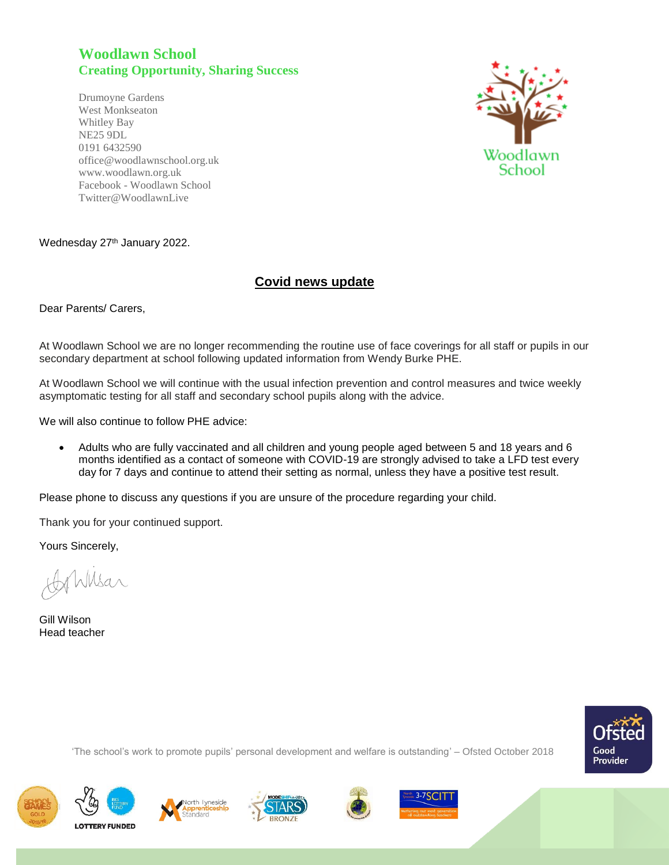## **Woodlawn School Creating Opportunity, Sharing Success**

Drumoyne Gardens West Monkseaton Whitley Bay NE25 9DL 0191 6432590 office@woodlawnschool.org.uk [www.woodlawn.](http://www.woodlawn/)org.uk Facebook - Woodlawn School Twitter@WoodlawnLive



## Wednesday 27<sup>th</sup> January 2022.

## **Covid news update**

Dear Parents/ Carers,

At Woodlawn School we are no longer recommending the routine use of face coverings for all staff or pupils in our secondary department at school following updated information from Wendy Burke PHE.

At Woodlawn School we will continue with the usual infection prevention and control measures and twice weekly asymptomatic testing for all staff and secondary school pupils along with the advice.

We will also continue to follow PHE advice:

 Adults who are fully vaccinated and all children and young people aged between 5 and 18 years and 6 months identified as a contact of someone with COVID-19 are strongly advised to take a LFD test every day for 7 days and continue to attend their setting as normal, unless they have a positive test result.

Please phone to discuss any questions if you are unsure of the procedure regarding your child.

Thank you for your continued support.

Yours Sincerely,

Wilsar

Gill Wilson Head teacher



'The school's work to promote pupils' personal development and welfare is outstanding' – Ofsted October 2018